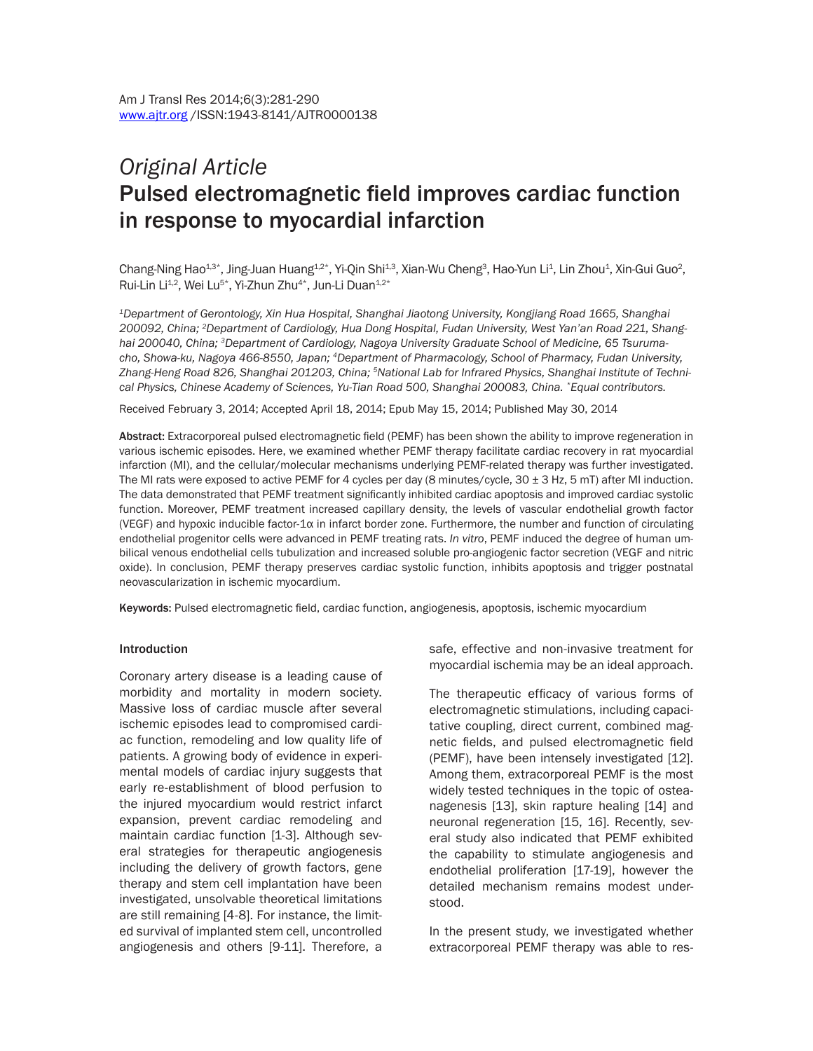# *Original Article*  Pulsed electromagnetic field improves cardiac function in response to myocardial infarction

Chang-Ning Hao $^{1,3*}$ , Jing-Juan Huang $^{1,2*}$ , Yi-Qin Shi $^{1,3}$ , Xian-Wu Cheng $^3$ , Hao-Yun Li $^1$ , Lin Zhou $^1$ , Xin-Gui Guo $^2$ , Rui-Lin Li<sup>1,2</sup>, Wei Lu<sup>5\*</sup>, Yi-Zhun Zhu<sup>4\*</sup>, Jun-Li Duan<sup>1,2\*</sup>

*1Department of Gerontology, Xin Hua Hospital, Shanghai Jiaotong University, Kongjiang Road 1665, Shanghai 200092, China; 2Department of Cardiology, Hua Dong Hospital, Fudan University, West Yan'an Road 221, Shanghai 200040, China; 3Department of Cardiology, Nagoya University Graduate School of Medicine, 65 Tsurumacho, Showa-ku, Nagoya 466-8550, Japan; 4Department of Pharmacology, School of Pharmacy, Fudan University, Zhang-Heng Road 826, Shanghai 201203, China; 5National Lab for Infrared Physics, Shanghai Institute of Technical Physics, Chinese Academy of Sciences, Yu-Tian Road 500, Shanghai 200083, China. \*Equal contributors.*

Received February 3, 2014; Accepted April 18, 2014; Epub May 15, 2014; Published May 30, 2014

Abstract: Extracorporeal pulsed electromagnetic field (PEMF) has been shown the ability to improve regeneration in various ischemic episodes. Here, we examined whether PEMF therapy facilitate cardiac recovery in rat myocardial infarction (MI), and the cellular/molecular mechanisms underlying PEMF-related therapy was further investigated. The MI rats were exposed to active PEMF for 4 cycles per day (8 minutes/cycle,  $30 \pm 3$  Hz, 5 mT) after MI induction. The data demonstrated that PEMF treatment significantly inhibited cardiac apoptosis and improved cardiac systolic function. Moreover, PEMF treatment increased capillary density, the levels of vascular endothelial growth factor (VEGF) and hypoxic inducible factor-1α in infarct border zone. Furthermore, the number and function of circulating endothelial progenitor cells were advanced in PEMF treating rats. *In vitro*, PEMF induced the degree of human umbilical venous endothelial cells tubulization and increased soluble pro-angiogenic factor secretion (VEGF and nitric oxide). In conclusion, PEMF therapy preserves cardiac systolic function, inhibits apoptosis and trigger postnatal neovascularization in ischemic myocardium.

Keywords: Pulsed electromagnetic field, cardiac function, angiogenesis, apoptosis, ischemic myocardium

#### Introduction

Coronary artery disease is a leading cause of morbidity and mortality in modern society. Massive loss of cardiac muscle after several ischemic episodes lead to compromised cardiac function, remodeling and low quality life of patients. A growing body of evidence in experimental models of cardiac injury suggests that early re-establishment of blood perfusion to the injured myocardium would restrict infarct expansion, prevent cardiac remodeling and maintain cardiac function [1-3]. Although several strategies for therapeutic angiogenesis including the delivery of growth factors, gene therapy and stem cell implantation have been investigated, unsolvable theoretical limitations are still remaining [4-8]. For instance, the limited survival of implanted stem cell, uncontrolled angiogenesis and others [9-11]. Therefore, a

safe, effective and non-invasive treatment for myocardial ischemia may be an ideal approach.

The therapeutic efficacy of various forms of electromagnetic stimulations, including capacitative coupling, direct current, combined magnetic fields, and pulsed electromagnetic field (PEMF), have been intensely investigated [12]. Among them, extracorporeal PEMF is the most widely tested techniques in the topic of osteanagenesis [13], skin rapture healing [14] and neuronal regeneration [15, 16]. Recently, several study also indicated that PEMF exhibited the capability to stimulate angiogenesis and endothelial proliferation [17-19], however the detailed mechanism remains modest understood.

In the present study, we investigated whether extracorporeal PEMF therapy was able to res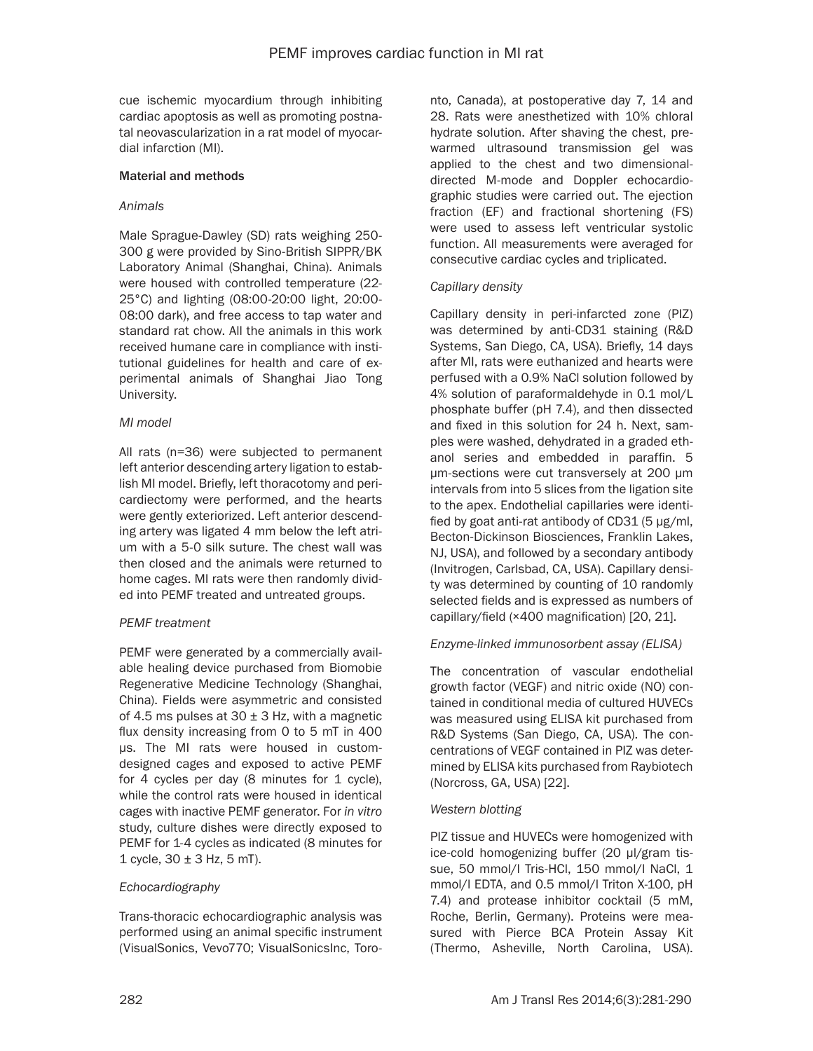cue ischemic myocardium through inhibiting cardiac apoptosis as well as promoting postnatal neovascularization in a rat model of myocardial infarction (MI).

# Material and methods

# *Animals*

Male Sprague-Dawley (SD) rats weighing 250- 300 g were provided by Sino-British SIPPR/BK Laboratory Animal (Shanghai, China). Animals were housed with controlled temperature (22- 25°C) and lighting (08:00-20:00 light, 20:00- 08:00 dark), and free access to tap water and standard rat chow. All the animals in this work received humane care in compliance with institutional guidelines for health and care of experimental animals of Shanghai Jiao Tong University.

# *MI model*

All rats (n=36) were subjected to permanent left anterior descending artery ligation to establish MI model. Briefly, left thoracotomy and pericardiectomy were performed, and the hearts were gently exteriorized. Left anterior descending artery was ligated 4 mm below the left atrium with a 5-0 silk suture. The chest wall was then closed and the animals were returned to home cages. MI rats were then randomly divided into PEMF treated and untreated groups.

# *PEMF treatment*

PEMF were generated by a commercially available healing device purchased from Biomobie Regenerative Medicine Technology (Shanghai, China). Fields were asymmetric and consisted of 4.5 ms pulses at  $30 \pm 3$  Hz, with a magnetic flux density increasing from 0 to 5 mT in 400 μs. The MI rats were housed in customdesigned cages and exposed to active PEMF for 4 cycles per day (8 minutes for 1 cycle), while the control rats were housed in identical cages with inactive PEMF generator. For *in vitro* study, culture dishes were directly exposed to PEMF for 1-4 cycles as indicated (8 minutes for 1 cycle,  $30 \pm 3$  Hz, 5 mT).

# *Echocardiography*

Trans-thoracic echocardiographic analysis was performed using an animal specific instrument (VisualSonics, Vevo770; VisualSonicsInc, Toro-

nto, Canada), at postoperative day 7, 14 and 28. Rats were anesthetized with 10% chloral hydrate solution. After shaving the chest, prewarmed ultrasound transmission gel was applied to the chest and two dimensionaldirected M-mode and Doppler echocardiographic studies were carried out. The ejection fraction (EF) and fractional shortening (FS) were used to assess left ventricular systolic function. All measurements were averaged for consecutive cardiac cycles and triplicated.

# *Capillary density*

Capillary density in peri-infarcted zone (PIZ) was determined by anti-CD31 staining (R&D Systems, San Diego, CA, USA). Briefly, 14 days after MI, rats were euthanized and hearts were perfused with a 0.9% NaCl solution followed by 4% solution of paraformaldehyde in 0.1 mol/L phosphate buffer (pH 7.4), and then dissected and fixed in this solution for 24 h. Next, samples were washed, dehydrated in a graded ethanol series and embedded in paraffin. 5 μm-sections were cut transversely at 200 μm intervals from into 5 slices from the ligation site to the apex. Endothelial capillaries were identified by goat anti-rat antibody of CD31 (5 μg/ml, Becton-Dickinson Biosciences, Franklin Lakes, NJ, USA), and followed by a secondary antibody (Invitrogen, Carlsbad, CA, USA). Capillary density was determined by counting of 10 randomly selected fields and is expressed as numbers of capillary/field (×400 magnification) [20, 21].

# *Enzyme-linked immunosorbent assay (ELISA)*

The concentration of vascular endothelial growth factor (VEGF) and nitric oxide (NO) contained in conditional media of cultured HUVECs was measured using ELISA kit purchased from R&D Systems (San Diego, CA, USA). The concentrations of VEGF contained in PIZ was determined by ELISA kits purchased from Raybiotech (Norcross, GA, USA) [22].

# *Western blotting*

PIZ tissue and HUVECs were homogenized with ice-cold homogenizing buffer (20 μl/gram tissue, 50 mmol/l Tris-HCl, 150 mmol/l NaCl, 1 mmol/l EDTA, and 0.5 mmol/l Triton X-100, pH 7.4) and protease inhibitor cocktail (5 mM, Roche, Berlin, Germany). Proteins were measured with Pierce BCA Protein Assay Kit (Thermo, Asheville, North Carolina, USA).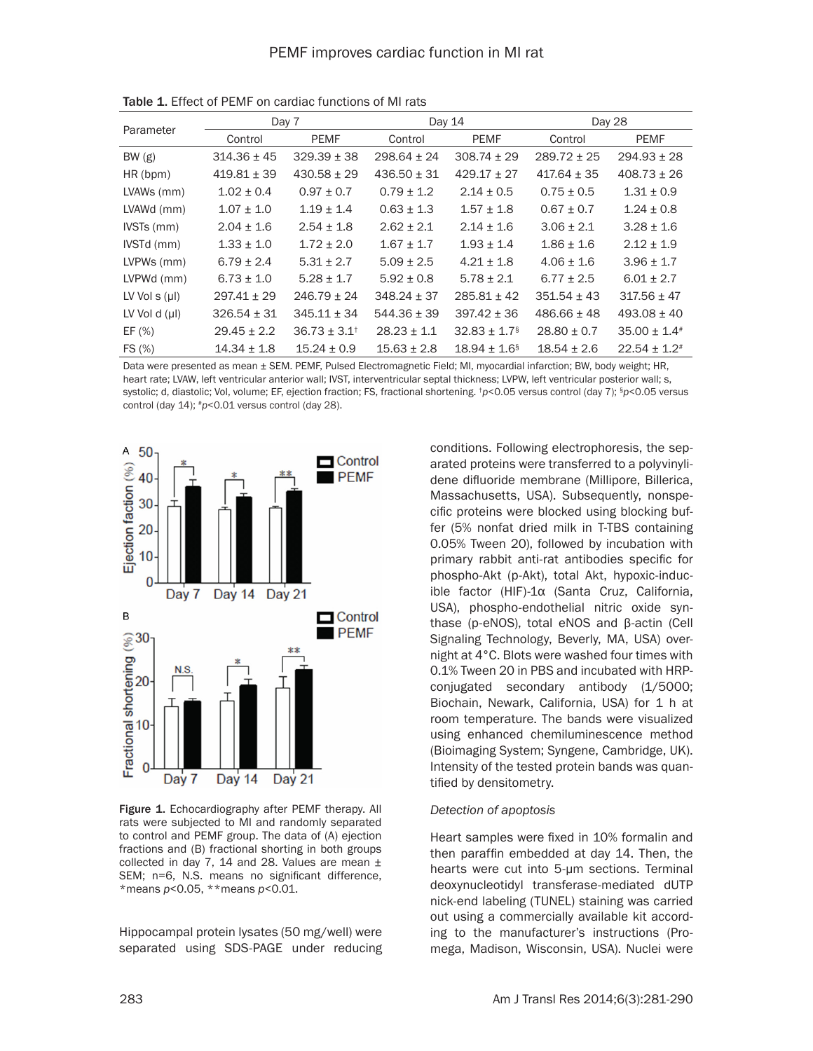| Parameter          | Day 7           |                           | Day 14          |                              | Day 28          |                              |
|--------------------|-----------------|---------------------------|-----------------|------------------------------|-----------------|------------------------------|
|                    | Control         | <b>PEMF</b>               | Control         | <b>PEMF</b>                  | Control         | PEMF                         |
| BW(g)              | $314.36 \pm 45$ | $329.39 \pm 38$           | $298.64 \pm 24$ | $308.74 \pm 29$              | $289.72 \pm 25$ | $294.93 \pm 28$              |
| HR (bpm)           | $419.81 \pm 39$ | $430.58 \pm 29$           | $436.50 \pm 31$ | $429.17 \pm 27$              | $417.64 \pm 35$ | $408.73 \pm 26$              |
| LVAWs (mm)         | $1.02 \pm 0.4$  | $0.97 \pm 0.7$            | $0.79 \pm 1.2$  | $2.14 \pm 0.5$               | $0.75 \pm 0.5$  | $1.31 \pm 0.9$               |
| LVAWd (mm)         | $1.07 \pm 1.0$  | $1.19 \pm 1.4$            | $0.63 \pm 1.3$  | $1.57 \pm 1.8$               | $0.67 \pm 0.7$  | $1.24 \pm 0.8$               |
| IVSTs (mm)         | $2.04 \pm 1.6$  | $2.54 \pm 1.8$            | $2.62 \pm 2.1$  | $2.14 \pm 1.6$               | $3.06 \pm 2.1$  | $3.28 \pm 1.6$               |
| IVSTd (mm)         | $1.33 \pm 1.0$  | $1.72 \pm 2.0$            | $1.67 \pm 1.7$  | $1.93 \pm 1.4$               | $1.86 \pm 1.6$  | $2.12 \pm 1.9$               |
| LVPWs (mm)         | $6.79 \pm 2.4$  | $5.31 \pm 2.7$            | $5.09 \pm 2.5$  | $4.21 \pm 1.8$               | $4.06 + 1.6$    | $3.96 \pm 1.7$               |
| LVPWd (mm)         | $6.73 \pm 1.0$  | $5.28 \pm 1.7$            | $5.92 \pm 0.8$  | $5.78 \pm 2.1$               | $6.77 \pm 2.5$  | $6.01 \pm 2.7$               |
| LV Vol $s(\mu)$    | $297.41 \pm 29$ | $246.79 + 24$             | $348.24 + 37$   | $285.81 \pm 42$              | $351.54 \pm 43$ | $317.56 + 47$                |
| LV Vol d $(\mu I)$ | $326.54 \pm 31$ | $345.11 \pm 34$           | $544.36 \pm 39$ | $397.42 \pm 36$              | $486.66 \pm 48$ | $493.08 \pm 40$              |
| EF (%)             | $29.45 \pm 2.2$ | $36.73 \pm 3.1^{\dagger}$ | $28.23 \pm 1.1$ | $32.83 \pm 1.7$ <sup>§</sup> | $28.80 \pm 0.7$ | $35.00 \pm 1.4^*$            |
| FS (%)             | $14.34 \pm 1.8$ | $15.24 \pm 0.9$           | $15.63 \pm 2.8$ | $18.94 \pm 1.6$ <sup>§</sup> | $18.54 \pm 2.6$ | $22.54 \pm 1.2$ <sup>#</sup> |

Table 1. Effect of PEMF on cardiac functions of MI rats

Data were presented as mean ± SEM. PEMF, Pulsed Electromagnetic Field; MI, myocardial infarction; BW, body weight; HR, heart rate; LVAW, left ventricular anterior wall; IVST, interventricular septal thickness; LVPW, left ventricular posterior wall; s, systolic; d, diastolic; Vol, volume; EF, ejection fraction; FS, fractional shortening. <sup>†</sup>p<0.05 versus control (day 7); <sup>§</sup>p<0.05 versus control (day 14); #*p*<0.01 versus control (day 28).



Figure 1. Echocardiography after PEMF therapy. All rats were subjected to MI and randomly separated to control and PEMF group. The data of (A) ejection fractions and (B) fractional shorting in both groups collected in day 7, 14 and 28. Values are mean  $\pm$ SEM; n=6, N.S. means no significant difference, \*means *p*<0.05, \*\*means *p*<0.01.

Hippocampal protein lysates (50 mg/well) were separated using SDS-PAGE under reducing conditions. Following electrophoresis, the separated proteins were transferred to a polyvinylidene difluoride membrane (Millipore, Billerica, Massachusetts, USA). Subsequently, nonspecific proteins were blocked using blocking buffer (5% nonfat dried milk in T-TBS containing 0.05% Tween 20), followed by incubation with primary rabbit anti-rat antibodies specific for phospho-Akt (p-Akt), total Akt, hypoxic-inducible factor (HIF)-1α (Santa Cruz, California, USA), phospho-endothelial nitric oxide synthase (p-eNOS), total eNOS and β-actin (Cell Signaling Technology, Beverly, MA, USA) overnight at 4°C. Blots were washed four times with 0.1% Tween 20 in PBS and incubated with HRPconjugated secondary antibody (1/5000; Biochain, Newark, California, USA) for 1 h at room temperature. The bands were visualized using enhanced chemiluminescence method (Bioimaging System; Syngene, Cambridge, UK). Intensity of the tested protein bands was quantified by densitometry.

#### *Detection of apoptosis*

Heart samples were fixed in 10% formalin and then paraffin embedded at day 14. Then, the hearts were cut into 5-μm sections. Terminal deoxynucleotidyl transferase-mediated dUTP nick-end labeling (TUNEL) staining was carried out using a commercially available kit according to the manufacturer's instructions (Promega, Madison, Wisconsin, USA). Nuclei were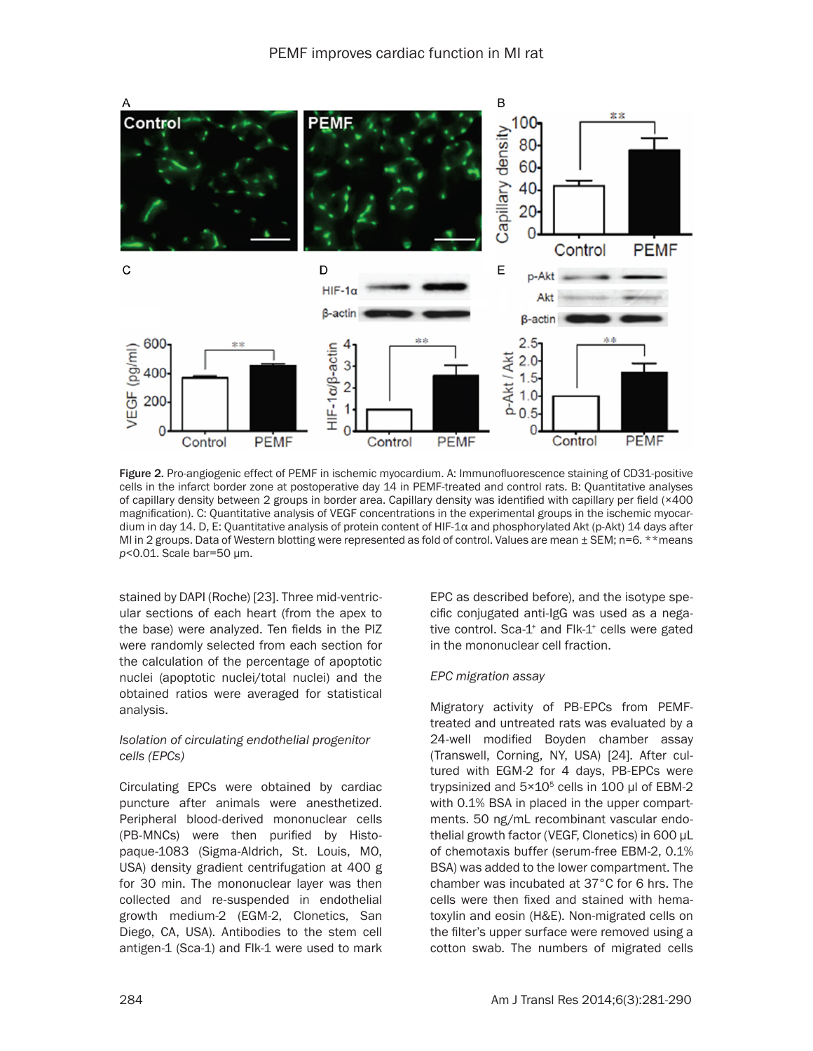

Figure 2. Pro-angiogenic effect of PEMF in ischemic myocardium. A: Immunofluorescence staining of CD31-positive cells in the infarct border zone at postoperative day 14 in PEMF-treated and control rats. B: Quantitative analyses of capillary density between 2 groups in border area. Capillary density was identified with capillary per field (×400 magnification). C: Quantitative analysis of VEGF concentrations in the experimental groups in the ischemic myocardium in day 14. D, E: Quantitative analysis of protein content of HIF-1α and phosphorylated Akt (p-Akt) 14 days after MI in 2 groups. Data of Western blotting were represented as fold of control. Values are mean ± SEM; n=6. \*\*means *p*<0.01. Scale bar=50 μm.

stained by DAPI (Roche) [23]. Three mid-ventricular sections of each heart (from the apex to the base) were analyzed. Ten fields in the PIZ were randomly selected from each section for the calculation of the percentage of apoptotic nuclei (apoptotic nuclei/total nuclei) and the obtained ratios were averaged for statistical analysis.

# *Isolation of circulating endothelial progenitor cells (EPCs)*

Circulating EPCs were obtained by cardiac puncture after animals were anesthetized. Peripheral blood-derived mononuclear cells (PB-MNCs) were then purified by Histopaque-1083 (Sigma-Aldrich, St. Louis, MO, USA) density gradient centrifugation at 400 g for 30 min. The mononuclear layer was then collected and re-suspended in endothelial growth medium-2 (EGM-2, Clonetics, San Diego, CA, USA). Antibodies to the stem cell antigen-1 (Sca-1) and Flk-1 were used to mark

EPC as described before), and the isotype specific conjugated anti-IgG was used as a negative control. Sca-1<sup>+</sup> and Flk-1<sup>+</sup> cells were gated in the mononuclear cell fraction.

# *EPC migration assay*

Migratory activity of PB-EPCs from PEMFtreated and untreated rats was evaluated by a 24-well modified Boyden chamber assay (Transwell, Corning, NY, USA) [24]. After cultured with EGM-2 for 4 days, PB-EPCs were trypsinized and  $5\times10^5$  cells in 100 μl of EBM-2 with 0.1% BSA in placed in the upper compartments. 50 ng/mL recombinant vascular endothelial growth factor (VEGF, Clonetics) in 600 μL of chemotaxis buffer (serum-free EBM-2, 0.1% BSA) was added to the lower compartment. The chamber was incubated at 37°C for 6 hrs. The cells were then fixed and stained with hematoxylin and eosin (H&E). Non-migrated cells on the filter's upper surface were removed using a cotton swab. The numbers of migrated cells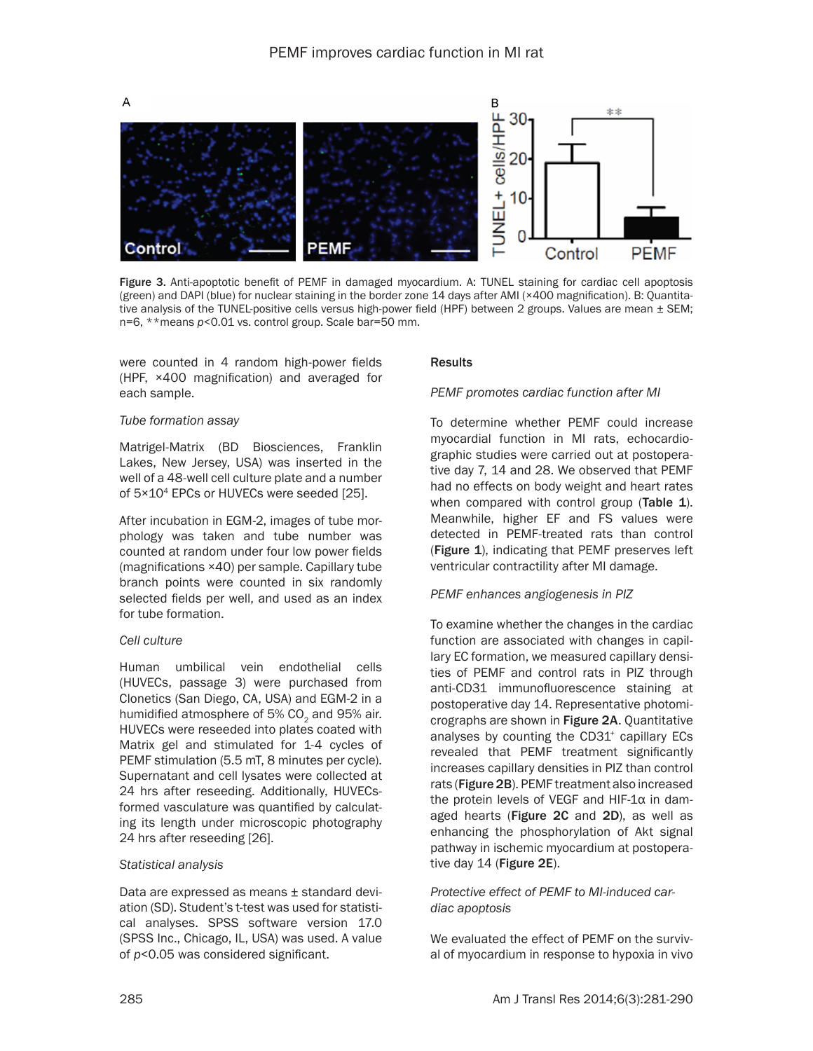

Figure 3. Anti-apoptotic benefit of PEMF in damaged myocardium. A: TUNEL staining for cardiac cell apoptosis (green) and DAPI (blue) for nuclear staining in the border zone 14 days after AMI (×400 magnification). B: Quantitative analysis of the TUNEL-positive cells versus high-power field (HPF) between 2 groups. Values are mean  $\pm$  SEM; n=6, \*\*means *p*<0.01 vs. control group. Scale bar=50 mm.

were counted in 4 random high-power fields (HPF, ×400 magnification) and averaged for each sample.

#### *Tube formation assay*

Matrigel-Matrix (BD Biosciences, Franklin Lakes, New Jersey, USA) was inserted in the well of a 48-well cell culture plate and a number of 5×104 EPCs or HUVECs were seeded [25].

After incubation in EGM-2, images of tube morphology was taken and tube number was counted at random under four low power fields (magnifications ×40) per sample. Capillary tube branch points were counted in six randomly selected fields per well, and used as an index for tube formation.

#### *Cell culture*

Human umbilical vein endothelial cells (HUVECs, passage 3) were purchased from Clonetics (San Diego, CA, USA) and EGM-2 in a humidified atmosphere of 5% CO<sub>2</sub> and 95% air. HUVECs were reseeded into plates coated with Matrix gel and stimulated for 1-4 cycles of PEMF stimulation (5.5 mT, 8 minutes per cycle). Supernatant and cell lysates were collected at 24 hrs after reseeding. Additionally, HUVECsformed vasculature was quantified by calculating its length under microscopic photography 24 hrs after reseeding [26].

#### *Statistical analysis*

Data are expressed as means ± standard deviation (SD). Student's t-test was used for statistical analyses. SPSS software version 17.0 (SPSS Inc., Chicago, IL, USA) was used. A value of *p*<0.05 was considered significant.

#### Results

#### *PEMF promotes cardiac function after MI*

To determine whether PEMF could increase myocardial function in MI rats, echocardiographic studies were carried out at postoperative day 7, 14 and 28. We observed that PEMF had no effects on body weight and heart rates when compared with control group (Table 1). Meanwhile, higher EF and FS values were detected in PEMF-treated rats than control (Figure 1), indicating that PEMF preserves left ventricular contractility after MI damage.

#### *PEMF enhances angiogenesis in PIZ*

To examine whether the changes in the cardiac function are associated with changes in capillary EC formation, we measured capillary densities of PEMF and control rats in PIZ through anti-CD31 immunofluorescence staining at postoperative day 14. Representative photomicrographs are shown in Figure 2A. Quantitative analyses by counting the CD31<sup>+</sup> capillary ECs revealed that PEMF treatment significantly increases capillary densities in PIZ than control rats (Figure 2B). PEMF treatment also increased the protein levels of VEGF and HIF-1α in damaged hearts (Figure 2C and 2D), as well as enhancing the phosphorylation of Akt signal pathway in ischemic myocardium at postoperative day 14 (Figure 2E).

# *Protective effect of PEMF to MI-induced cardiac apoptosis*

We evaluated the effect of PEMF on the survival of myocardium in response to hypoxia in vivo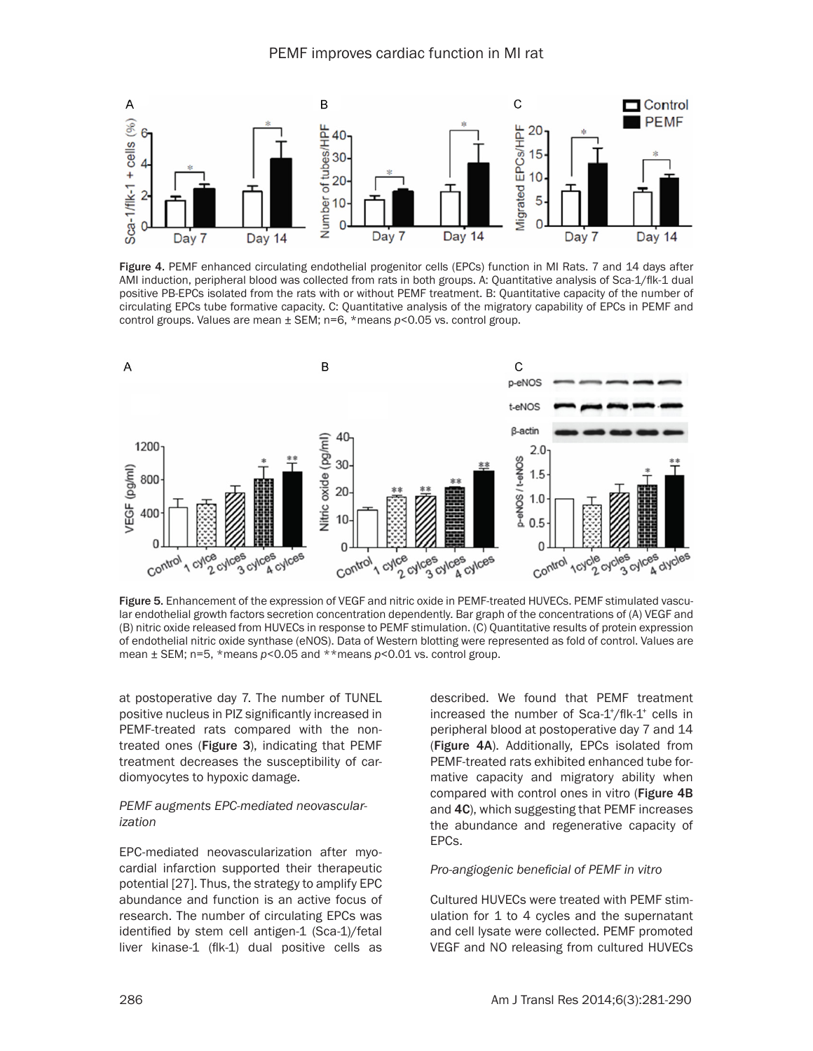

Figure 4. PEMF enhanced circulating endothelial progenitor cells (EPCs) function in MI Rats. 7 and 14 days after AMI induction, peripheral blood was collected from rats in both groups. A: Quantitative analysis of Sca-1/flk-1 dual positive PB-EPCs isolated from the rats with or without PEMF treatment. B: Quantitative capacity of the number of circulating EPCs tube formative capacity. C: Quantitative analysis of the migratory capability of EPCs in PEMF and control groups. Values are mean ± SEM; n=6, \*means *p*<0.05 vs. control group.



Figure 5. Enhancement of the expression of VEGF and nitric oxide in PEMF-treated HUVECs. PEMF stimulated vascular endothelial growth factors secretion concentration dependently. Bar graph of the concentrations of (A) VEGF and (B) nitric oxide released from HUVECs in response to PEMF stimulation. (C) Quantitative results of protein expression of endothelial nitric oxide synthase (eNOS). Data of Western blotting were represented as fold of control. Values are mean ± SEM; n=5, \*means *p*<0.05 and \*\*means *p*<0.01 vs. control group.

at postoperative day 7. The number of TUNEL positive nucleus in PIZ significantly increased in PEMF-treated rats compared with the nontreated ones (Figure 3), indicating that PEMF treatment decreases the susceptibility of cardiomyocytes to hypoxic damage.

### *PEMF augments EPC-mediated neovascularization*

EPC-mediated neovascularization after myocardial infarction supported their therapeutic potential [27]. Thus, the strategy to amplify EPC abundance and function is an active focus of research. The number of circulating EPCs was identified by stem cell antigen-1 (Sca-1)/fetal liver kinase-1 (flk-1) dual positive cells as

described. We found that PEMF treatment increased the number of Sca-1<sup>+</sup>/flk-1<sup>+</sup> cells in peripheral blood at postoperative day 7 and 14 (Figure 4A). Additionally, EPCs isolated from PEMF-treated rats exhibited enhanced tube formative capacity and migratory ability when compared with control ones in vitro (Figure 4B and 4C), which suggesting that PEMF increases the abundance and regenerative capacity of EPCs.

# *Pro-angiogenic beneficial of PEMF in vitro*

Cultured HUVECs were treated with PEMF stimulation for 1 to 4 cycles and the supernatant and cell lysate were collected. PEMF promoted VEGF and NO releasing from cultured HUVECs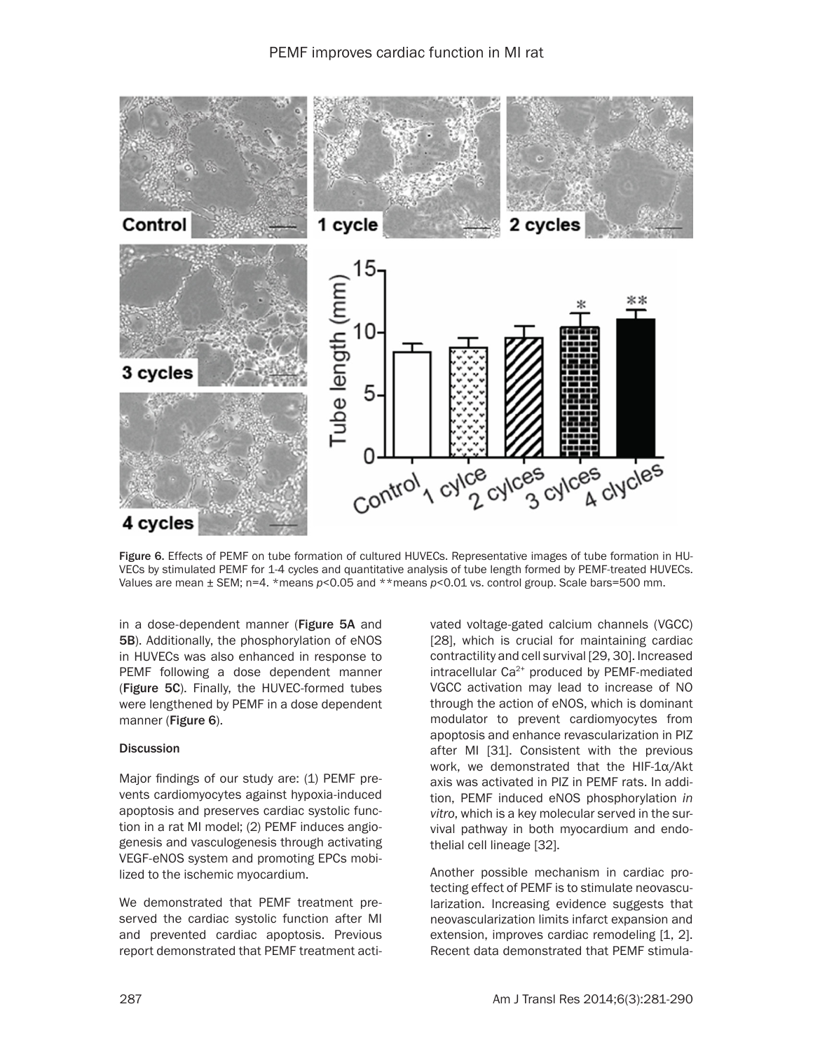

Figure 6. Effects of PEMF on tube formation of cultured HUVECs. Representative images of tube formation in HU-VECs by stimulated PEMF for 1-4 cycles and quantitative analysis of tube length formed by PEMF-treated HUVECs. Values are mean ± SEM; n=4. \*means *p*<0.05 and \*\*means *p*<0.01 vs. control group. Scale bars=500 mm.

in a dose-dependent manner (Figure 5A and 5B). Additionally, the phosphorylation of eNOS in HUVECs was also enhanced in response to PEMF following a dose dependent manner (Figure 5C). Finally, the HUVEC-formed tubes were lengthened by PEMF in a dose dependent manner (Figure 6).

# **Discussion**

Major findings of our study are: (1) PEMF prevents cardiomyocytes against hypoxia-induced apoptosis and preserves cardiac systolic function in a rat MI model; (2) PEMF induces angiogenesis and vasculogenesis through activating VEGF-eNOS system and promoting EPCs mobilized to the ischemic myocardium.

We demonstrated that PEMF treatment preserved the cardiac systolic function after MI and prevented cardiac apoptosis. Previous report demonstrated that PEMF treatment activated voltage-gated calcium channels (VGCC) [28], which is crucial for maintaining cardiac contractility and cell survival [29, 30]. Increased intracellular Ca<sup>2+</sup> produced by PEMF-mediated VGCC activation may lead to increase of NO through the action of eNOS, which is dominant modulator to prevent cardiomyocytes from apoptosis and enhance revascularization in PIZ after MI [31]. Consistent with the previous work, we demonstrated that the HIF-1α/Akt axis was activated in PIZ in PEMF rats. In addition, PEMF induced eNOS phosphorylation *in vitro*, which is a key molecular served in the survival pathway in both myocardium and endothelial cell lineage [32].

Another possible mechanism in cardiac protecting effect of PEMF is to stimulate neovascularization. Increasing evidence suggests that neovascularization limits infarct expansion and extension, improves cardiac remodeling [1, 2]. Recent data demonstrated that PEMF stimula-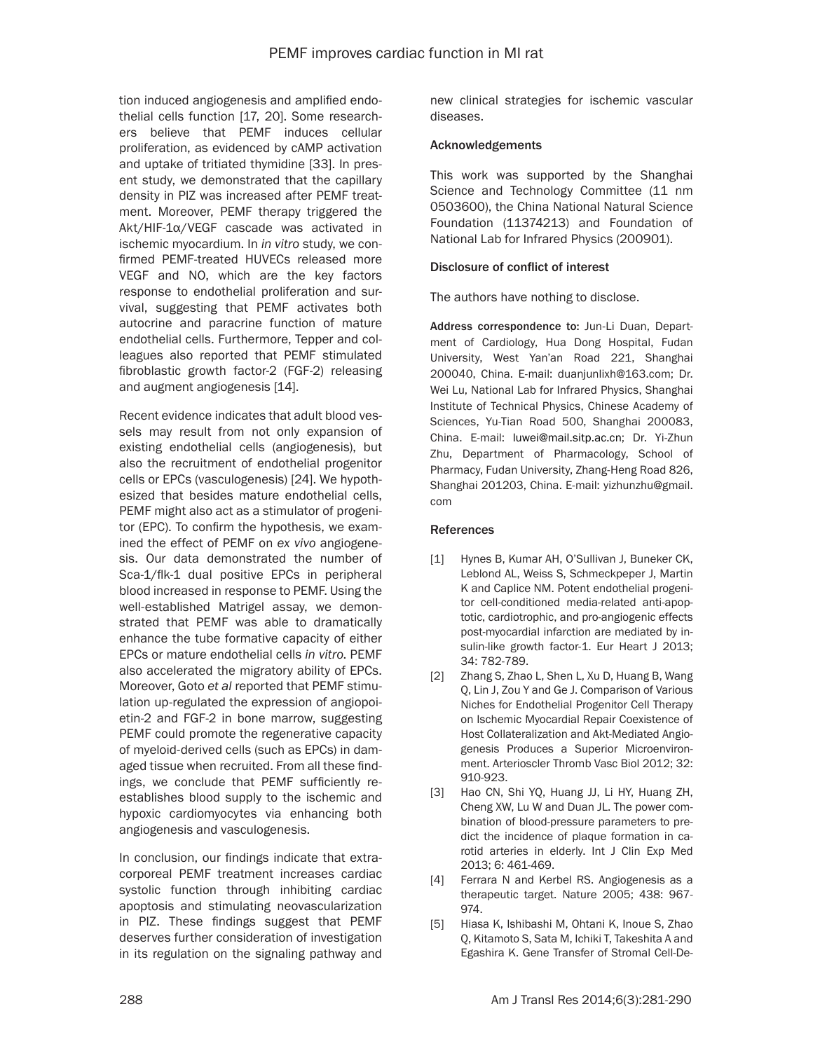tion induced angiogenesis and amplified endothelial cells function [17, 20]. Some researchers believe that PEMF induces cellular proliferation, as evidenced by cAMP activation and uptake of tritiated thymidine [33]. In present study, we demonstrated that the capillary density in PIZ was increased after PEMF treatment. Moreover, PEMF therapy triggered the Akt/HIF-1α/VEGF cascade was activated in ischemic myocardium. In *in vitro* study, we confirmed PEMF-treated HUVECs released more VEGF and NO, which are the key factors response to endothelial proliferation and survival, suggesting that PEMF activates both autocrine and paracrine function of mature endothelial cells. Furthermore, Tepper and colleagues also reported that PEMF stimulated fibroblastic growth factor-2 (FGF-2) releasing and augment angiogenesis [14].

Recent evidence indicates that adult blood vessels may result from not only expansion of existing endothelial cells (angiogenesis), but also the recruitment of endothelial progenitor cells or EPCs (vasculogenesis) [24]. We hypothesized that besides mature endothelial cells, PEMF might also act as a stimulator of progenitor (EPC). To confirm the hypothesis, we examined the effect of PEMF on *ex vivo* angiogenesis. Our data demonstrated the number of Sca-1/flk-1 dual positive EPCs in peripheral blood increased in response to PEMF. Using the well-established Matrigel assay, we demonstrated that PEMF was able to dramatically enhance the tube formative capacity of either EPCs or mature endothelial cells *in vitro*. PEMF also accelerated the migratory ability of EPCs. Moreover, Goto *et al* reported that PEMF stimulation up-regulated the expression of angiopoietin-2 and FGF-2 in bone marrow, suggesting PEMF could promote the regenerative capacity of myeloid-derived cells (such as EPCs) in damaged tissue when recruited. From all these findings, we conclude that PEMF sufficiently reestablishes blood supply to the ischemic and hypoxic cardiomyocytes via enhancing both angiogenesis and vasculogenesis.

In conclusion, our findings indicate that extracorporeal PEMF treatment increases cardiac systolic function through inhibiting cardiac apoptosis and stimulating neovascularization in PIZ. These findings suggest that PEMF deserves further consideration of investigation in its regulation on the signaling pathway and new clinical strategies for ischemic vascular diseases.

# Acknowledgements

This work was supported by the Shanghai Science and Technology Committee (11 nm 0503600), the China National Natural Science Foundation (11374213) and Foundation of National Lab for Infrared Physics (200901).

# Disclosure of conflict of interest

The authors have nothing to disclose.

Address correspondence to: Jun-Li Duan, Department of Cardiology, Hua Dong Hospital, Fudan University, West Yan'an Road 221, Shanghai 200040, China. E-mail: [duanjunlixh@163.com](mailto:duanjunlixh@163.com); Dr. Wei Lu, National Lab for Infrared Physics, Shanghai Institute of Technical Physics, Chinese Academy of Sciences, Yu-Tian Road 500, Shanghai 200083, China. E-mail: [luwei@mail.sitp.ac.cn](mailto:luwei@mail.sitp.ac.cn); Dr. Yi-Zhun Zhu, Department of Pharmacology, School of Pharmacy, Fudan University, Zhang-Heng Road 826, Shanghai 201203, China. E-mail: yizhunzhu@gmail. com

## References

- [1] Hynes B, Kumar AH, O'Sullivan J, Buneker CK, Leblond AL, Weiss S, Schmeckpeper J, Martin K and Caplice NM. Potent endothelial progenitor cell-conditioned media-related anti-apoptotic, cardiotrophic, and pro-angiogenic effects post-myocardial infarction are mediated by insulin-like growth factor-1. Eur Heart J 2013; 34: 782-789.
- [2] Zhang S, Zhao L, Shen L, Xu D, Huang B, Wang Q, Lin J, Zou Y and Ge J. Comparison of Various Niches for Endothelial Progenitor Cell Therapy on Ischemic Myocardial Repair Coexistence of Host Collateralization and Akt-Mediated Angiogenesis Produces a Superior Microenvironment. Arterioscler Thromb Vasc Biol 2012; 32: 910-923.
- [3] Hao CN, Shi YQ, Huang JJ, Li HY, Huang ZH, Cheng XW, Lu W and Duan JL. The power combination of blood-pressure parameters to predict the incidence of plaque formation in carotid arteries in elderly. Int J Clin Exp Med 2013; 6: 461-469.
- [4] Ferrara N and Kerbel RS. Angiogenesis as a therapeutic target. Nature 2005; 438: 967- 974.
- [5] Hiasa K, Ishibashi M, Ohtani K, Inoue S, Zhao Q, Kitamoto S, Sata M, Ichiki T, Takeshita A and Egashira K. Gene Transfer of Stromal Cell-De-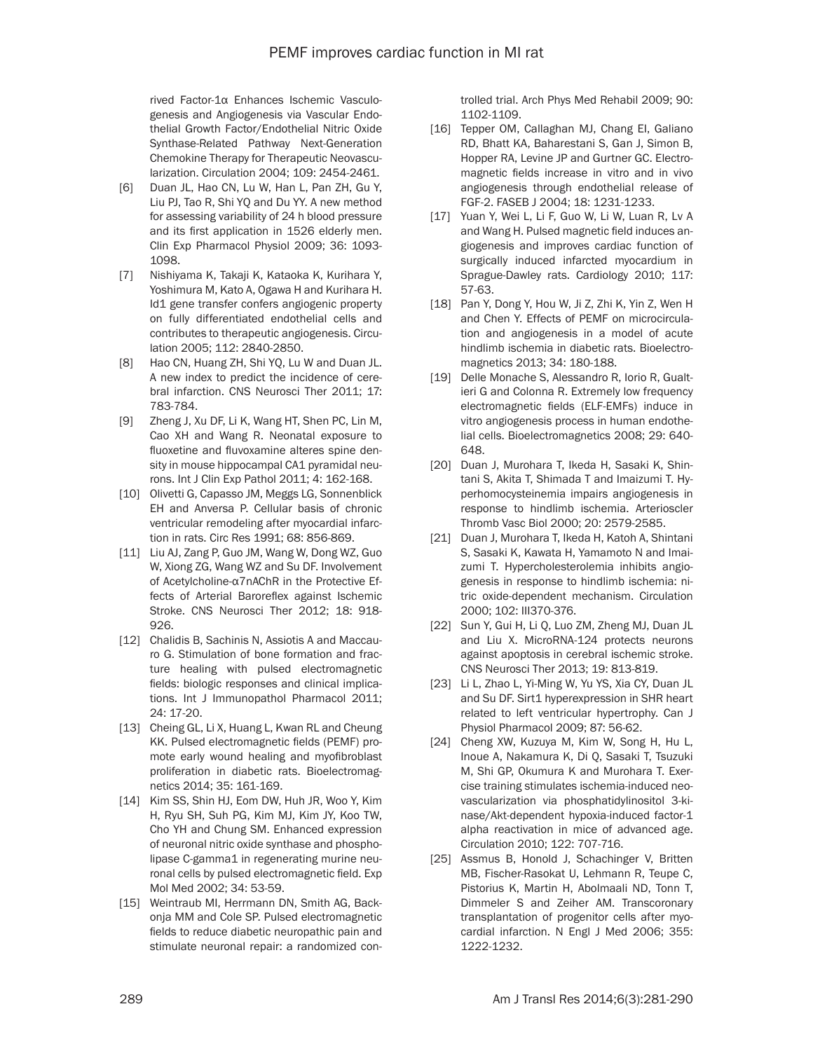rived Factor-1α Enhances Ischemic Vasculogenesis and Angiogenesis via Vascular Endothelial Growth Factor/Endothelial Nitric Oxide Synthase-Related Pathway Next-Generation Chemokine Therapy for Therapeutic Neovascularization. Circulation 2004; 109: 2454-2461.

- [6] Duan JL, Hao CN, Lu W, Han L, Pan ZH, Gu Y, Liu PJ, Tao R, Shi YQ and Du YY. A new method for assessing variability of 24 h blood pressure and its first application in 1526 elderly men. Clin Exp Pharmacol Physiol 2009; 36: 1093- 1098.
- [7] Nishiyama K, Takaji K, Kataoka K, Kurihara Y, Yoshimura M, Kato A, Ogawa H and Kurihara H. Id1 gene transfer confers angiogenic property on fully differentiated endothelial cells and contributes to therapeutic angiogenesis. Circulation 2005; 112: 2840-2850.
- [8] Hao CN, Huang ZH, Shi YQ, Lu W and Duan JL. A new index to predict the incidence of cerebral infarction. CNS Neurosci Ther 2011; 17: 783-784.
- [9] Zheng J, Xu DF, Li K, Wang HT, Shen PC, Lin M, Cao XH and Wang R. Neonatal exposure to fluoxetine and fluvoxamine alteres spine density in mouse hippocampal CA1 pyramidal neurons. Int J Clin Exp Pathol 2011; 4: 162-168.
- [10] Olivetti G, Capasso JM, Meggs LG, Sonnenblick EH and Anversa P. Cellular basis of chronic ventricular remodeling after myocardial infarction in rats. Circ Res 1991; 68: 856-869.
- [11] Liu AJ, Zang P, Guo JM, Wang W, Dong WZ, Guo W, Xiong ZG, Wang WZ and Su DF. Involvement of Acetylcholine-α7nAChR in the Protective Effects of Arterial Baroreflex against Ischemic Stroke. CNS Neurosci Ther 2012; 18: 918- 926.
- [12] Chalidis B, Sachinis N, Assiotis A and Maccauro G. Stimulation of bone formation and fracture healing with pulsed electromagnetic fields: biologic responses and clinical implications. Int J Immunopathol Pharmacol 2011; 24: 17-20.
- [13] Cheing GL, Li X, Huang L, Kwan RL and Cheung KK. Pulsed electromagnetic fields (PEMF) promote early wound healing and myofibroblast proliferation in diabetic rats. Bioelectromagnetics 2014; 35: 161-169.
- [14] Kim SS, Shin HJ, Eom DW, Huh JR, Woo Y, Kim H, Ryu SH, Suh PG, Kim MJ, Kim JY, Koo TW, Cho YH and Chung SM. Enhanced expression of neuronal nitric oxide synthase and phospholipase C-gamma1 in regenerating murine neuronal cells by pulsed electromagnetic field. Exp Mol Med 2002; 34: 53-59.
- [15] Weintraub MI, Herrmann DN, Smith AG, Backonja MM and Cole SP. Pulsed electromagnetic fields to reduce diabetic neuropathic pain and stimulate neuronal repair: a randomized con-

trolled trial. Arch Phys Med Rehabil 2009; 90: 1102-1109.

- [16] Tepper OM, Callaghan MJ, Chang EI, Galiano RD, Bhatt KA, Baharestani S, Gan J, Simon B, Hopper RA, Levine JP and Gurtner GC. Electromagnetic fields increase in vitro and in vivo angiogenesis through endothelial release of FGF-2. FASEB J 2004; 18: 1231-1233.
- [17] Yuan Y, Wei L, Li F, Guo W, Li W, Luan R, Lv A and Wang H. Pulsed magnetic field induces angiogenesis and improves cardiac function of surgically induced infarcted myocardium in Sprague-Dawley rats. Cardiology 2010; 117: 57-63.
- [18] Pan Y, Dong Y, Hou W, Ji Z, Zhi K, Yin Z, Wen H and Chen Y. Effects of PEMF on microcirculation and angiogenesis in a model of acute hindlimb ischemia in diabetic rats. Bioelectromagnetics 2013; 34: 180-188.
- [19] Delle Monache S, Alessandro R, Iorio R, Gualtieri G and Colonna R. Extremely low frequency electromagnetic fields (ELF-EMFs) induce in vitro angiogenesis process in human endothelial cells. Bioelectromagnetics 2008; 29: 640- 648.
- [20] Duan J, Murohara T, Ikeda H, Sasaki K, Shintani S, Akita T, Shimada T and Imaizumi T. Hyperhomocysteinemia impairs angiogenesis in response to hindlimb ischemia. Arterioscler Thromb Vasc Biol 2000; 20: 2579-2585.
- [21] Duan J, Murohara T, Ikeda H, Katoh A, Shintani S, Sasaki K, Kawata H, Yamamoto N and Imaizumi T. Hypercholesterolemia inhibits angiogenesis in response to hindlimb ischemia: nitric oxide-dependent mechanism. Circulation 2000; 102: III370-376.
- [22] Sun Y, Gui H, Li Q, Luo ZM, Zheng MJ, Duan JL and Liu X. MicroRNA-124 protects neurons against apoptosis in cerebral ischemic stroke. CNS Neurosci Ther 2013; 19: 813-819.
- [23] Li L, Zhao L, Yi-Ming W, Yu YS, Xia CY, Duan JL and Su DF. Sirt1 hyperexpression in SHR heart related to left ventricular hypertrophy. Can J Physiol Pharmacol 2009; 87: 56-62.
- [24] Cheng XW, Kuzuya M, Kim W, Song H, Hu L, Inoue A, Nakamura K, Di Q, Sasaki T, Tsuzuki M, Shi GP, Okumura K and Murohara T. Exercise training stimulates ischemia-induced neovascularization via phosphatidylinositol 3-kinase/Akt-dependent hypoxia-induced factor-1 alpha reactivation in mice of advanced age. Circulation 2010; 122: 707-716.
- [25] Assmus B, Honold J, Schachinger V, Britten MB, Fischer-Rasokat U, Lehmann R, Teupe C, Pistorius K, Martin H, Abolmaali ND, Tonn T, Dimmeler S and Zeiher AM. Transcoronary transplantation of progenitor cells after myocardial infarction. N Engl J Med 2006; 355: 1222-1232.